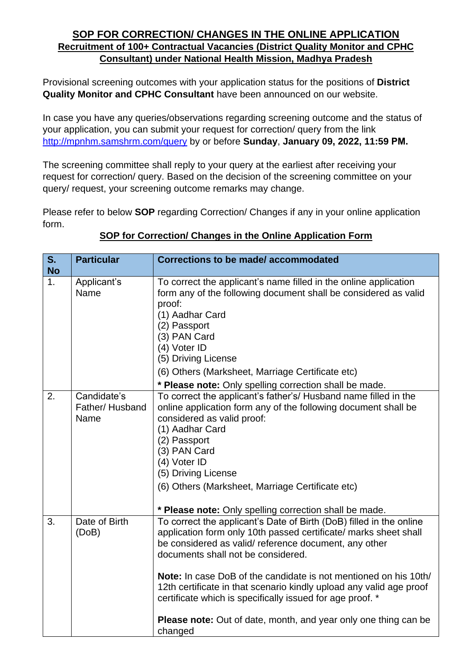## **SOP FOR CORRECTION/ CHANGES IN THE ONLINE APPLICATION Recruitment of 100+ Contractual Vacancies (District Quality Monitor and CPHC Consultant) under National Health Mission, Madhya Pradesh**

Provisional screening outcomes with your application status for the positions of **District Quality Monitor and CPHC Consultant** have been announced on our website.

In case you have any queries/observations regarding screening outcome and the status of your application, you can submit your request for correction/ query from the link <http://mpnhm.samshrm.com/query> by or before **Sunday**, **January 09, 2022, 11:59 PM.**

The screening committee shall reply to your query at the earliest after receiving your request for correction/ query. Based on the decision of the screening committee on your query/ request, your screening outcome remarks may change.

Please refer to below **SOP** regarding Correction/ Changes if any in your online application form.

| S.<br><b>No</b> | <b>Particular</b>                     | <b>Corrections to be made/accommodated</b>                                                                                                                                                                                                                                                                                                                                                                                                                                                                                         |
|-----------------|---------------------------------------|------------------------------------------------------------------------------------------------------------------------------------------------------------------------------------------------------------------------------------------------------------------------------------------------------------------------------------------------------------------------------------------------------------------------------------------------------------------------------------------------------------------------------------|
| 1.              | Applicant's<br>Name                   | To correct the applicant's name filled in the online application<br>form any of the following document shall be considered as valid<br>proof:<br>(1) Aadhar Card<br>(2) Passport<br>(3) PAN Card<br>(4) Voter ID<br>(5) Driving License<br>(6) Others (Marksheet, Marriage Certificate etc)<br>* Please note: Only spelling correction shall be made.                                                                                                                                                                              |
| 2.              | Candidate's<br>Father/Husband<br>Name | To correct the applicant's father's/ Husband name filled in the<br>online application form any of the following document shall be<br>considered as valid proof:<br>(1) Aadhar Card<br>(2) Passport<br>(3) PAN Card<br>(4) Voter ID<br>(5) Driving License<br>(6) Others (Marksheet, Marriage Certificate etc)<br>* Please note: Only spelling correction shall be made.                                                                                                                                                            |
| 3.              | Date of Birth<br>(DoB)                | To correct the applicant's Date of Birth (DoB) filled in the online<br>application form only 10th passed certificate/ marks sheet shall<br>be considered as valid/reference document, any other<br>documents shall not be considered.<br><b>Note:</b> In case DoB of the candidate is not mentioned on his 10th/<br>12th certificate in that scenario kindly upload any valid age proof<br>certificate which is specifically issued for age proof. *<br>Please note: Out of date, month, and year only one thing can be<br>changed |

## **SOP for Correction/ Changes in the Online Application Form**